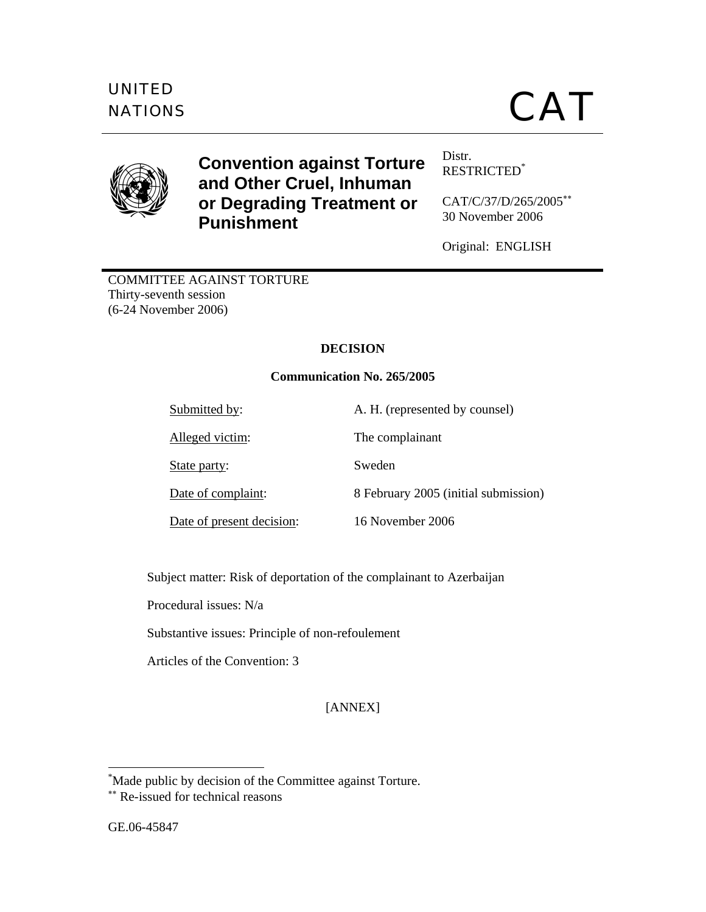

# **Convention against Torture and Other Cruel, Inhuman or Degrading Treatment or Punishment**

Distr. RESTRICTED\*

CAT/C/37/D/265/2005∗∗ 30 November 2006

Original: ENGLISH

COMMITTEE AGAINST TORTURE Thirty-seventh session (6-24 November 2006)

# **DECISION**

# **Communication No. 265/2005**

Submitted by: A. H. (represented by counsel)

Alleged victim: The complainant

State party: Sweden

Date of present decision: 16 November 2006

Date of complaint: 8 February 2005 (initial submission)

Subject matter: Risk of deportation of the complainant to Azerbaijan

Procedural issues: N/a

Substantive issues: Principle of non-refoulement

Articles of the Convention: 3

[ANNEX]

 \* Made public by decision of the Committee against Torture.

<sup>∗∗</sup> Re-issued for technical reasons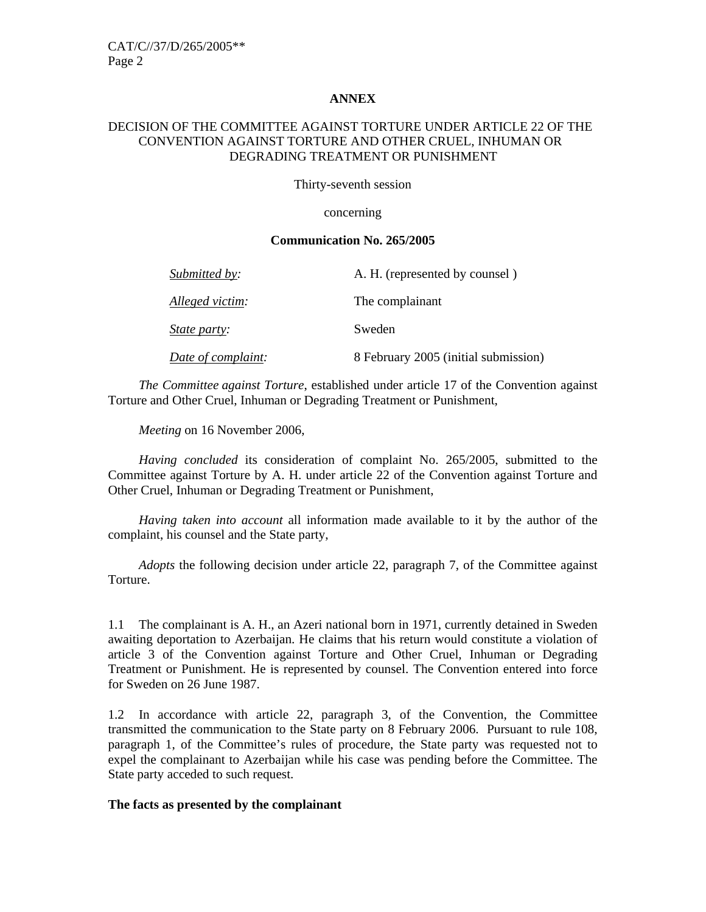#### **ANNEX**

#### DECISION OF THE COMMITTEE AGAINST TORTURE UNDER ARTICLE 22 OF THE CONVENTION AGAINST TORTURE AND OTHER CRUEL, INHUMAN OR DEGRADING TREATMENT OR PUNISHMENT

Thirty-seventh session

concerning

#### **Communication No. 265/2005**

| Submitted by:       | A. H. (represented by counsel)       |
|---------------------|--------------------------------------|
| Alleged victim:     | The complainant                      |
| <i>State party:</i> | Sweden                               |
| Date of complaint:  | 8 February 2005 (initial submission) |

 *The Committee against Torture*, established under article 17 of the Convention against Torture and Other Cruel, Inhuman or Degrading Treatment or Punishment,

 *Meeting* on 16 November 2006,

 *Having concluded* its consideration of complaint No. 265/2005, submitted to the Committee against Torture by A. H. under article 22 of the Convention against Torture and Other Cruel, Inhuman or Degrading Treatment or Punishment,

 *Having taken into account* all information made available to it by the author of the complaint, his counsel and the State party,

*Adopts* the following decision under article 22, paragraph 7, of the Committee against Torture.

1.1 The complainant is A. H., an Azeri national born in 1971, currently detained in Sweden awaiting deportation to Azerbaijan. He claims that his return would constitute a violation of article 3 of the Convention against Torture and Other Cruel, Inhuman or Degrading Treatment or Punishment. He is represented by counsel. The Convention entered into force for Sweden on 26 June 1987.

1.2 In accordance with article 22, paragraph 3, of the Convention, the Committee transmitted the communication to the State party on 8 February 2006. Pursuant to rule 108, paragraph 1, of the Committee's rules of procedure, the State party was requested not to expel the complainant to Azerbaijan while his case was pending before the Committee. The State party acceded to such request.

#### **The facts as presented by the complainant**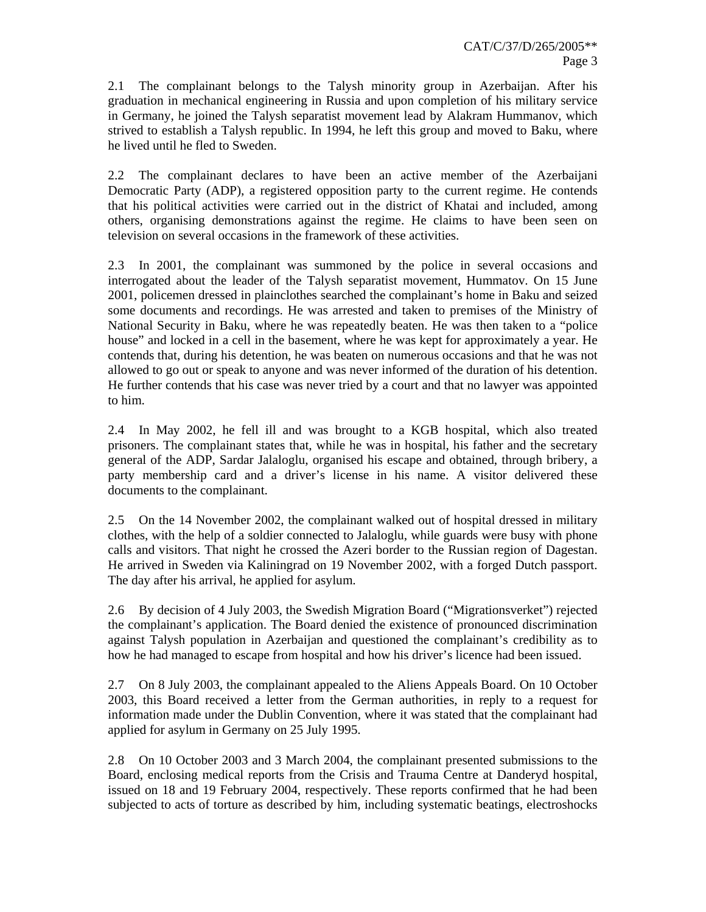2.1 The complainant belongs to the Talysh minority group in Azerbaijan. After his graduation in mechanical engineering in Russia and upon completion of his military service in Germany, he joined the Talysh separatist movement lead by Alakram Hummanov, which strived to establish a Talysh republic. In 1994, he left this group and moved to Baku, where he lived until he fled to Sweden.

2.2 The complainant declares to have been an active member of the Azerbaijani Democratic Party (ADP), a registered opposition party to the current regime. He contends that his political activities were carried out in the district of Khatai and included, among others, organising demonstrations against the regime. He claims to have been seen on television on several occasions in the framework of these activities.

2.3 In 2001, the complainant was summoned by the police in several occasions and interrogated about the leader of the Talysh separatist movement, Hummatov. On 15 June 2001, policemen dressed in plainclothes searched the complainant's home in Baku and seized some documents and recordings. He was arrested and taken to premises of the Ministry of National Security in Baku, where he was repeatedly beaten. He was then taken to a "police house" and locked in a cell in the basement, where he was kept for approximately a year. He contends that, during his detention, he was beaten on numerous occasions and that he was not allowed to go out or speak to anyone and was never informed of the duration of his detention. He further contends that his case was never tried by a court and that no lawyer was appointed to him.

2.4 In May 2002, he fell ill and was brought to a KGB hospital, which also treated prisoners. The complainant states that, while he was in hospital, his father and the secretary general of the ADP, Sardar Jalaloglu, organised his escape and obtained, through bribery, a party membership card and a driver's license in his name. A visitor delivered these documents to the complainant.

2.5 On the 14 November 2002, the complainant walked out of hospital dressed in military clothes, with the help of a soldier connected to Jalaloglu, while guards were busy with phone calls and visitors. That night he crossed the Azeri border to the Russian region of Dagestan. He arrived in Sweden via Kaliningrad on 19 November 2002, with a forged Dutch passport. The day after his arrival, he applied for asylum.

2.6 By decision of 4 July 2003, the Swedish Migration Board ("Migrationsverket") rejected the complainant's application. The Board denied the existence of pronounced discrimination against Talysh population in Azerbaijan and questioned the complainant's credibility as to how he had managed to escape from hospital and how his driver's licence had been issued.

2.7 On 8 July 2003, the complainant appealed to the Aliens Appeals Board. On 10 October 2003, this Board received a letter from the German authorities, in reply to a request for information made under the Dublin Convention, where it was stated that the complainant had applied for asylum in Germany on 25 July 1995.

2.8 On 10 October 2003 and 3 March 2004, the complainant presented submissions to the Board, enclosing medical reports from the Crisis and Trauma Centre at Danderyd hospital, issued on 18 and 19 February 2004, respectively. These reports confirmed that he had been subjected to acts of torture as described by him, including systematic beatings, electroshocks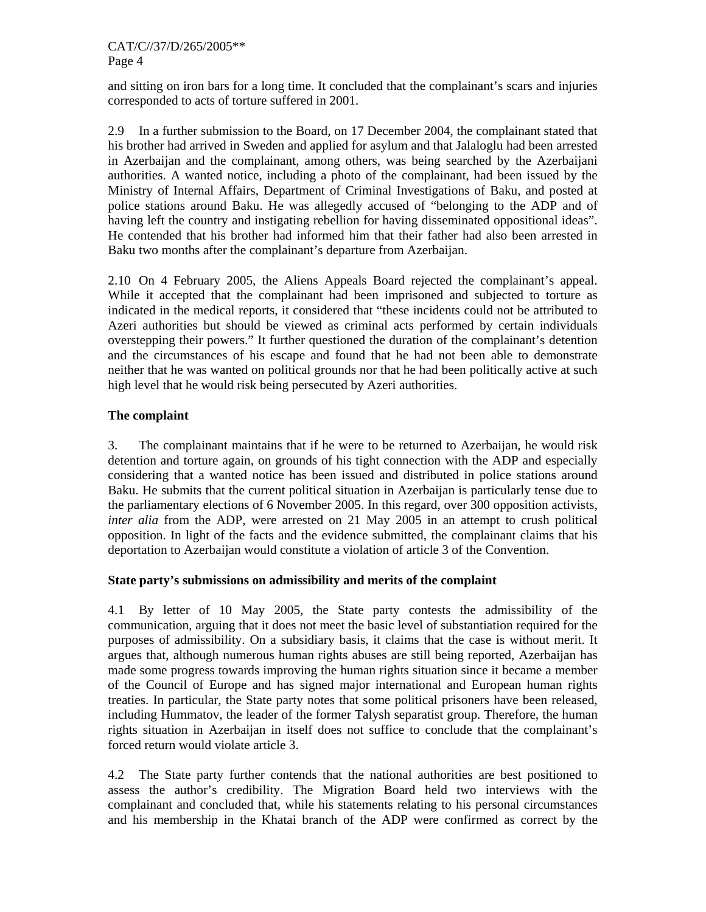and sitting on iron bars for a long time. It concluded that the complainant's scars and injuries corresponded to acts of torture suffered in 2001.

2.9 In a further submission to the Board, on 17 December 2004, the complainant stated that his brother had arrived in Sweden and applied for asylum and that Jalaloglu had been arrested in Azerbaijan and the complainant, among others, was being searched by the Azerbaijani authorities. A wanted notice, including a photo of the complainant, had been issued by the Ministry of Internal Affairs, Department of Criminal Investigations of Baku, and posted at police stations around Baku. He was allegedly accused of "belonging to the ADP and of having left the country and instigating rebellion for having disseminated oppositional ideas". He contended that his brother had informed him that their father had also been arrested in Baku two months after the complainant's departure from Azerbaijan.

2.10 On 4 February 2005, the Aliens Appeals Board rejected the complainant's appeal. While it accepted that the complainant had been imprisoned and subjected to torture as indicated in the medical reports, it considered that "these incidents could not be attributed to Azeri authorities but should be viewed as criminal acts performed by certain individuals overstepping their powers." It further questioned the duration of the complainant's detention and the circumstances of his escape and found that he had not been able to demonstrate neither that he was wanted on political grounds nor that he had been politically active at such high level that he would risk being persecuted by Azeri authorities.

# **The complaint**

3. The complainant maintains that if he were to be returned to Azerbaijan, he would risk detention and torture again, on grounds of his tight connection with the ADP and especially considering that a wanted notice has been issued and distributed in police stations around Baku. He submits that the current political situation in Azerbaijan is particularly tense due to the parliamentary elections of 6 November 2005. In this regard, over 300 opposition activists, *inter alia* from the ADP, were arrested on 21 May 2005 in an attempt to crush political opposition. In light of the facts and the evidence submitted, the complainant claims that his deportation to Azerbaijan would constitute a violation of article 3 of the Convention.

#### **State party's submissions on admissibility and merits of the complaint**

4.1 By letter of 10 May 2005, the State party contests the admissibility of the communication, arguing that it does not meet the basic level of substantiation required for the purposes of admissibility. On a subsidiary basis, it claims that the case is without merit. It argues that, although numerous human rights abuses are still being reported, Azerbaijan has made some progress towards improving the human rights situation since it became a member of the Council of Europe and has signed major international and European human rights treaties. In particular, the State party notes that some political prisoners have been released, including Hummatov, the leader of the former Talysh separatist group. Therefore, the human rights situation in Azerbaijan in itself does not suffice to conclude that the complainant's forced return would violate article 3.

4.2 The State party further contends that the national authorities are best positioned to assess the author's credibility. The Migration Board held two interviews with the complainant and concluded that, while his statements relating to his personal circumstances and his membership in the Khatai branch of the ADP were confirmed as correct by the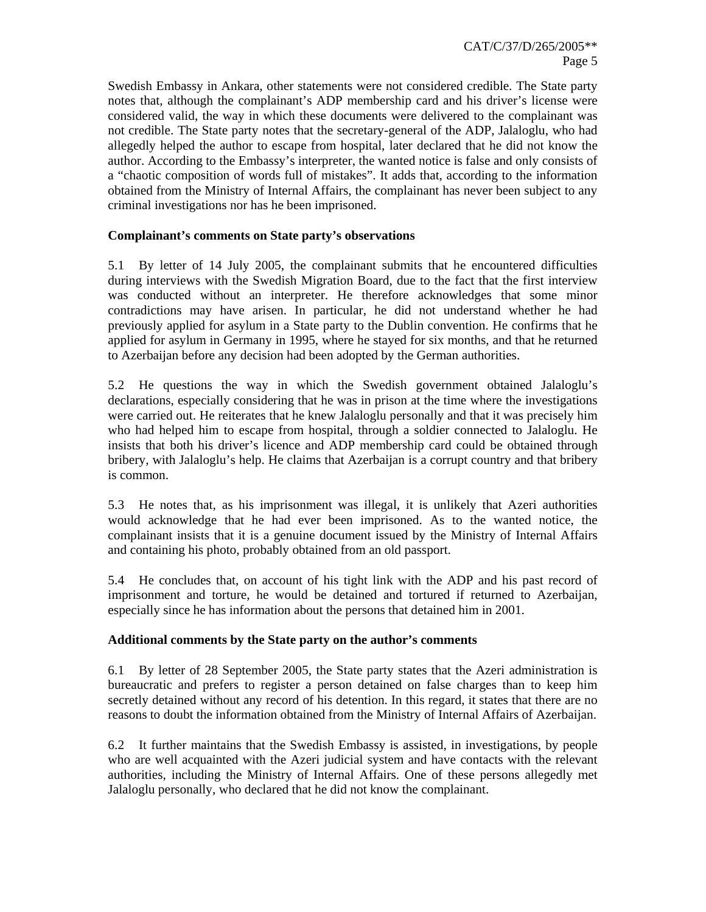Swedish Embassy in Ankara, other statements were not considered credible. The State party notes that, although the complainant's ADP membership card and his driver's license were considered valid, the way in which these documents were delivered to the complainant was not credible. The State party notes that the secretary-general of the ADP, Jalaloglu, who had allegedly helped the author to escape from hospital, later declared that he did not know the author. According to the Embassy's interpreter, the wanted notice is false and only consists of a "chaotic composition of words full of mistakes". It adds that, according to the information obtained from the Ministry of Internal Affairs, the complainant has never been subject to any criminal investigations nor has he been imprisoned.

#### **Complainant's comments on State party's observations**

5.1 By letter of 14 July 2005, the complainant submits that he encountered difficulties during interviews with the Swedish Migration Board, due to the fact that the first interview was conducted without an interpreter. He therefore acknowledges that some minor contradictions may have arisen. In particular, he did not understand whether he had previously applied for asylum in a State party to the Dublin convention. He confirms that he applied for asylum in Germany in 1995, where he stayed for six months, and that he returned to Azerbaijan before any decision had been adopted by the German authorities.

5.2 He questions the way in which the Swedish government obtained Jalaloglu's declarations, especially considering that he was in prison at the time where the investigations were carried out. He reiterates that he knew Jalaloglu personally and that it was precisely him who had helped him to escape from hospital, through a soldier connected to Jalaloglu. He insists that both his driver's licence and ADP membership card could be obtained through bribery, with Jalaloglu's help. He claims that Azerbaijan is a corrupt country and that bribery is common.

5.3 He notes that, as his imprisonment was illegal, it is unlikely that Azeri authorities would acknowledge that he had ever been imprisoned. As to the wanted notice, the complainant insists that it is a genuine document issued by the Ministry of Internal Affairs and containing his photo, probably obtained from an old passport.

5.4 He concludes that, on account of his tight link with the ADP and his past record of imprisonment and torture, he would be detained and tortured if returned to Azerbaijan, especially since he has information about the persons that detained him in 2001.

# **Additional comments by the State party on the author's comments**

6.1 By letter of 28 September 2005, the State party states that the Azeri administration is bureaucratic and prefers to register a person detained on false charges than to keep him secretly detained without any record of his detention. In this regard, it states that there are no reasons to doubt the information obtained from the Ministry of Internal Affairs of Azerbaijan.

6.2 It further maintains that the Swedish Embassy is assisted, in investigations, by people who are well acquainted with the Azeri judicial system and have contacts with the relevant authorities, including the Ministry of Internal Affairs. One of these persons allegedly met Jalaloglu personally, who declared that he did not know the complainant.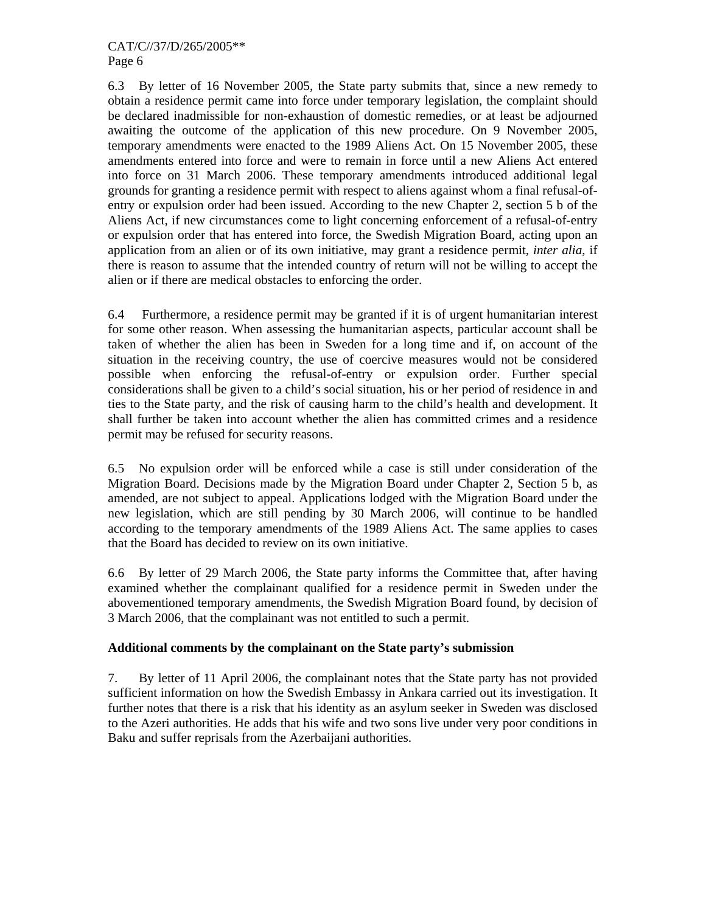#### CAT/C//37/D/265/2005\*\* Page 6

6.3 By letter of 16 November 2005, the State party submits that, since a new remedy to obtain a residence permit came into force under temporary legislation, the complaint should be declared inadmissible for non-exhaustion of domestic remedies, or at least be adjourned awaiting the outcome of the application of this new procedure. On 9 November 2005, temporary amendments were enacted to the 1989 Aliens Act. On 15 November 2005, these amendments entered into force and were to remain in force until a new Aliens Act entered into force on 31 March 2006. These temporary amendments introduced additional legal grounds for granting a residence permit with respect to aliens against whom a final refusal-ofentry or expulsion order had been issued. According to the new Chapter 2, section 5 b of the Aliens Act, if new circumstances come to light concerning enforcement of a refusal-of-entry or expulsion order that has entered into force, the Swedish Migration Board, acting upon an application from an alien or of its own initiative, may grant a residence permit*, inter alia*, if there is reason to assume that the intended country of return will not be willing to accept the alien or if there are medical obstacles to enforcing the order.

6.4 Furthermore, a residence permit may be granted if it is of urgent humanitarian interest for some other reason. When assessing the humanitarian aspects, particular account shall be taken of whether the alien has been in Sweden for a long time and if, on account of the situation in the receiving country, the use of coercive measures would not be considered possible when enforcing the refusal-of-entry or expulsion order. Further special considerations shall be given to a child's social situation, his or her period of residence in and ties to the State party, and the risk of causing harm to the child's health and development. It shall further be taken into account whether the alien has committed crimes and a residence permit may be refused for security reasons.

6.5 No expulsion order will be enforced while a case is still under consideration of the Migration Board. Decisions made by the Migration Board under Chapter 2, Section 5 b, as amended, are not subject to appeal. Applications lodged with the Migration Board under the new legislation, which are still pending by 30 March 2006, will continue to be handled according to the temporary amendments of the 1989 Aliens Act. The same applies to cases that the Board has decided to review on its own initiative.

6.6 By letter of 29 March 2006, the State party informs the Committee that, after having examined whether the complainant qualified for a residence permit in Sweden under the abovementioned temporary amendments, the Swedish Migration Board found, by decision of 3 March 2006, that the complainant was not entitled to such a permit.

# **Additional comments by the complainant on the State party's submission**

7. By letter of 11 April 2006, the complainant notes that the State party has not provided sufficient information on how the Swedish Embassy in Ankara carried out its investigation. It further notes that there is a risk that his identity as an asylum seeker in Sweden was disclosed to the Azeri authorities. He adds that his wife and two sons live under very poor conditions in Baku and suffer reprisals from the Azerbaijani authorities.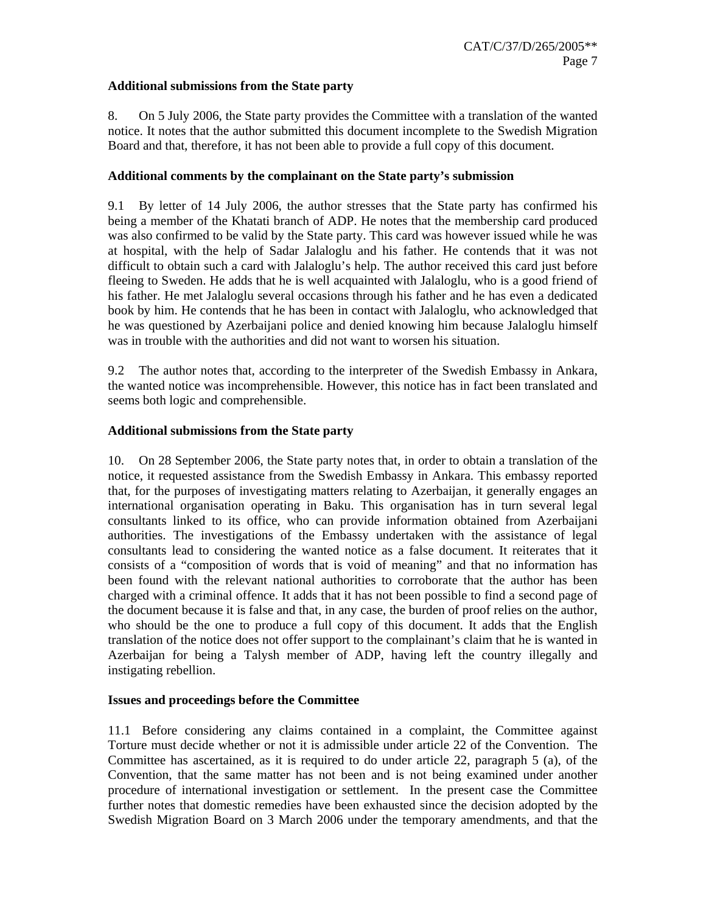#### **Additional submissions from the State party**

8. On 5 July 2006, the State party provides the Committee with a translation of the wanted notice. It notes that the author submitted this document incomplete to the Swedish Migration Board and that, therefore, it has not been able to provide a full copy of this document.

#### **Additional comments by the complainant on the State party's submission**

9.1 By letter of 14 July 2006, the author stresses that the State party has confirmed his being a member of the Khatati branch of ADP. He notes that the membership card produced was also confirmed to be valid by the State party. This card was however issued while he was at hospital, with the help of Sadar Jalaloglu and his father. He contends that it was not difficult to obtain such a card with Jalaloglu's help. The author received this card just before fleeing to Sweden. He adds that he is well acquainted with Jalaloglu, who is a good friend of his father. He met Jalaloglu several occasions through his father and he has even a dedicated book by him. He contends that he has been in contact with Jalaloglu, who acknowledged that he was questioned by Azerbaijani police and denied knowing him because Jalaloglu himself was in trouble with the authorities and did not want to worsen his situation.

9.2 The author notes that, according to the interpreter of the Swedish Embassy in Ankara, the wanted notice was incomprehensible. However, this notice has in fact been translated and seems both logic and comprehensible.

#### **Additional submissions from the State party**

10. On 28 September 2006, the State party notes that, in order to obtain a translation of the notice, it requested assistance from the Swedish Embassy in Ankara. This embassy reported that, for the purposes of investigating matters relating to Azerbaijan, it generally engages an international organisation operating in Baku. This organisation has in turn several legal consultants linked to its office, who can provide information obtained from Azerbaijani authorities. The investigations of the Embassy undertaken with the assistance of legal consultants lead to considering the wanted notice as a false document. It reiterates that it consists of a "composition of words that is void of meaning" and that no information has been found with the relevant national authorities to corroborate that the author has been charged with a criminal offence. It adds that it has not been possible to find a second page of the document because it is false and that, in any case, the burden of proof relies on the author, who should be the one to produce a full copy of this document. It adds that the English translation of the notice does not offer support to the complainant's claim that he is wanted in Azerbaijan for being a Talysh member of ADP, having left the country illegally and instigating rebellion.

# **Issues and proceedings before the Committee**

11.1 Before considering any claims contained in a complaint, the Committee against Torture must decide whether or not it is admissible under article 22 of the Convention. The Committee has ascertained, as it is required to do under article 22, paragraph 5 (a), of the Convention, that the same matter has not been and is not being examined under another procedure of international investigation or settlement. In the present case the Committee further notes that domestic remedies have been exhausted since the decision adopted by the Swedish Migration Board on 3 March 2006 under the temporary amendments, and that the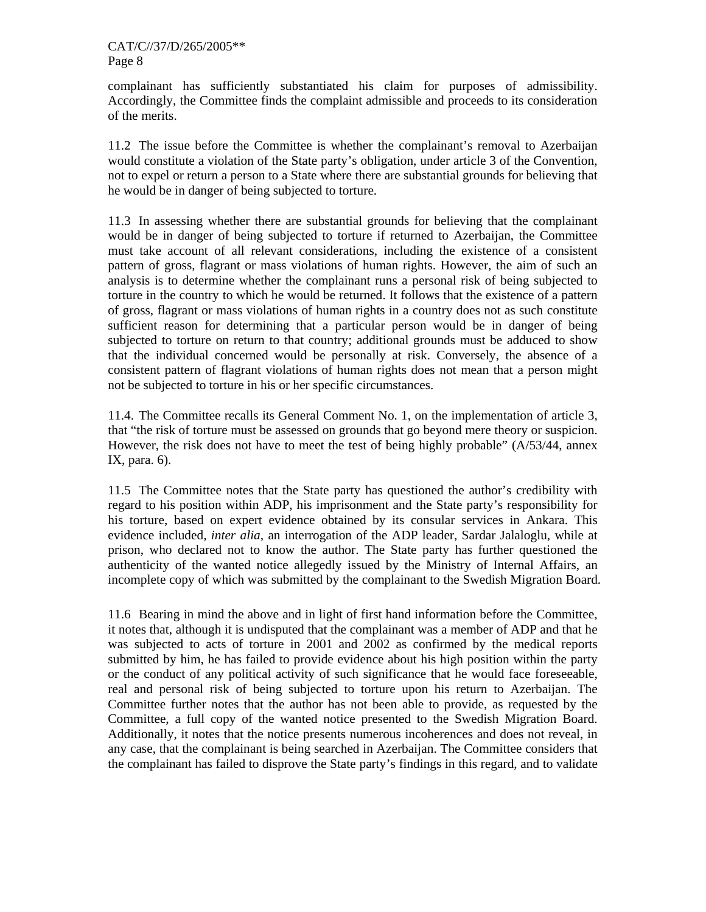complainant has sufficiently substantiated his claim for purposes of admissibility. Accordingly, the Committee finds the complaint admissible and proceeds to its consideration of the merits.

11.2 The issue before the Committee is whether the complainant's removal to Azerbaijan would constitute a violation of the State party's obligation, under article 3 of the Convention, not to expel or return a person to a State where there are substantial grounds for believing that he would be in danger of being subjected to torture.

11.3 In assessing whether there are substantial grounds for believing that the complainant would be in danger of being subjected to torture if returned to Azerbaijan, the Committee must take account of all relevant considerations, including the existence of a consistent pattern of gross, flagrant or mass violations of human rights. However, the aim of such an analysis is to determine whether the complainant runs a personal risk of being subjected to torture in the country to which he would be returned. It follows that the existence of a pattern of gross, flagrant or mass violations of human rights in a country does not as such constitute sufficient reason for determining that a particular person would be in danger of being subjected to torture on return to that country; additional grounds must be adduced to show that the individual concerned would be personally at risk. Conversely, the absence of a consistent pattern of flagrant violations of human rights does not mean that a person might not be subjected to torture in his or her specific circumstances.

11.4. The Committee recalls its General Comment No. 1, on the implementation of article 3, that "the risk of torture must be assessed on grounds that go beyond mere theory or suspicion. However, the risk does not have to meet the test of being highly probable" (A/53/44, annex IX, para. 6).

11.5 The Committee notes that the State party has questioned the author's credibility with regard to his position within ADP, his imprisonment and the State party's responsibility for his torture, based on expert evidence obtained by its consular services in Ankara. This evidence included, *inter alia,* an interrogation of the ADP leader, Sardar Jalaloglu, while at prison, who declared not to know the author. The State party has further questioned the authenticity of the wanted notice allegedly issued by the Ministry of Internal Affairs, an incomplete copy of which was submitted by the complainant to the Swedish Migration Board.

11.6 Bearing in mind the above and in light of first hand information before the Committee, it notes that, although it is undisputed that the complainant was a member of ADP and that he was subjected to acts of torture in 2001 and 2002 as confirmed by the medical reports submitted by him, he has failed to provide evidence about his high position within the party or the conduct of any political activity of such significance that he would face foreseeable, real and personal risk of being subjected to torture upon his return to Azerbaijan. The Committee further notes that the author has not been able to provide, as requested by the Committee, a full copy of the wanted notice presented to the Swedish Migration Board. Additionally, it notes that the notice presents numerous incoherences and does not reveal, in any case, that the complainant is being searched in Azerbaijan. The Committee considers that the complainant has failed to disprove the State party's findings in this regard, and to validate